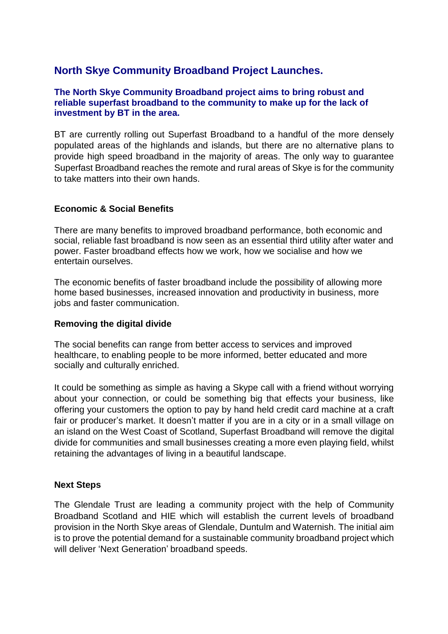# **North Skye Community Broadband Project Launches.**

## **The North Skye Community Broadband project aims to bring robust and reliable superfast broadband to the community to make up for the lack of investment by BT in the area.**

BT are currently rolling out Superfast Broadband to a handful of the more densely populated areas of the highlands and islands, but there are no alternative plans to provide high speed broadband in the majority of areas. The only way to guarantee Superfast Broadband reaches the remote and rural areas of Skye is for the community to take matters into their own hands.

## **Economic & Social Benefits**

There are many benefits to improved broadband performance, both economic and social, reliable fast broadband is now seen as an essential third utility after water and power. Faster broadband effects how we work, how we socialise and how we entertain ourselves.

The economic benefits of faster broadband include the possibility of allowing more home based businesses, increased innovation and productivity in business, more jobs and faster communication.

## **Removing the digital divide**

The social benefits can range from better access to services and improved healthcare, to enabling people to be more informed, better educated and more socially and culturally enriched.

It could be something as simple as having a Skype call with a friend without worrying about your connection, or could be something big that effects your business, like offering your customers the option to pay by hand held credit card machine at a craft fair or producer's market. It doesn't matter if you are in a city or in a small village on an island on the West Coast of Scotland, Superfast Broadband will remove the digital divide for communities and small businesses creating a more even playing field, whilst retaining the advantages of living in a beautiful landscape.

## **Next Steps**

The Glendale Trust are leading a community project with the help of Community Broadband Scotland and HIE which will establish the current levels of broadband provision in the North Skye areas of Glendale, Duntulm and Waternish. The initial aim is to prove the potential demand for a sustainable community broadband project which will deliver 'Next Generation' broadband speeds.